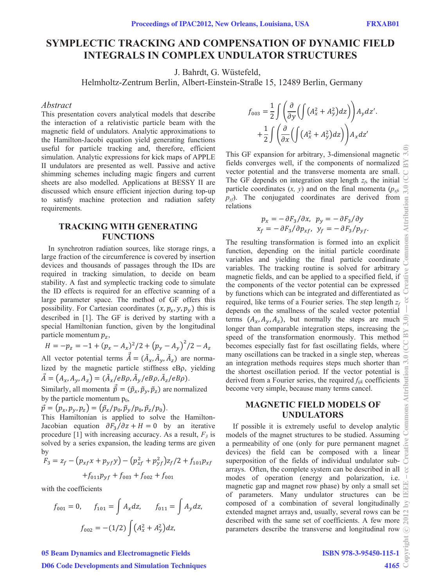# **SYMPLECTIC TRACKING AND COMPENSATION OF DYNAMIC FIELD INTEGRALS IN COMPLEX UNDULATOR STRUCTURES**

J. Bahrdt, G. Wüstefeld,

Helmholtz-Zentrum Berlin, Albert-Einstein-Straße 15, 12489 Berlin, Germany

# *Abstract*

This presentation covers analytical models that describe the interaction of a relativistic particle beam with the magnetic field of undulators. Analytic approximations to the Hamilton-Jacobi equation yield generating functions useful for particle tracking and, therefore, efficient simulation. Analytic expressions for kick maps of APPLE II undulators are presented as well. Passive and active shimming schemes including magic fingers and current sheets are also modelled. Applications at BESSY II are discussed which ensure efficient injection during top-up to satisfy machine protection and radiation safety requirements.

# **TRACKING WITH GENERATING FUNCTIONS**

In synchrotron radiation sources, like storage rings, a large fraction of the circumference is covered by insertion devices and thousands of passages through the IDs are required in tracking simulation, to decide on beam stability. A fast and symplectic tracking code to simulate the ID effects is required for an effective scanning of a large parameter space. The method of GF offers this possibility. For Cartesian coordinates  $(x, p_x, y, p_y)$  this is described in [1]. The GF is derived by starting with a special Hamiltonian function, given by the longitudinal particle momentum  $p_z$ ,

$$
H = -p_z = -1 + (p_x - A_x)^2/2 + (p_y - A_y)^2/2 - A_z
$$

All vector potential terms  $\tilde{A} = (\tilde{A}_x, \tilde{A}_y, \tilde{A}_z)$  are normalized by the magnetic particle stiffness  $eB\rho$ , yielding  $\ddot{A} = (A_x, A_y, A_z) = (\ddot{A}_x / eB\rho, \ddot{A}_y / eB\rho, \ddot{A}_z / eB\rho).$ 

Similarly, all momenta  $\vec{p} = (\tilde{p}_x, \tilde{p}_y, \tilde{p}_z)$  are normalized by the particle momentum  $p_0$ ,

$$
\vec{p}=(p_x,p_y,p_z)=(\tilde{p}_x/p_0,\tilde{p}_y/p_0,\tilde{p}_z/p_0).
$$

This Hamiltonian is applied to solve the Hamilton-Jacobian equation  $\partial F_3/\partial z + H = 0$  by an iterative procedure  $[1]$  with increasing accuracy. As a result,  $F_3$  is solved by a series expansion, the leading terms are given by

$$
F_3 = z_f - (p_{xf}x + p_{yf}y) - (p_{xf}^2 + p_{yf}^2)z_f/2 + f_{101}p_{xf}
$$

$$
+ f_{011}p_{yf} + f_{003} + f_{002} + f_{001}
$$

with the coefficients

$$
f_{001} = 0, \t f_{101} = \int A_x dz, \t f_{011} = \int A_y dz,
$$

$$
f_{002} = -(1/2) \int (A_x^2 + A_y^2) dz,
$$

$$
f_{003} = \frac{1}{2} \int \left( \frac{\partial}{\partial y} \left( \int \left( A_x^2 + A_y^2 \right) dz \right) \right) A_y dz'.
$$

$$
+ \frac{1}{2} \int \left( \frac{\partial}{\partial x} \left( \int \left( A_x^2 + A_y^2 \right) dz \right) \right) A_x dz'
$$

This GF expansion for arbitrary, 3-dimensional magnetic fields converges well, if the components of normalized vector potential and the transverse momenta are small. The GF depends on integration step length  $z_f$ , the initial particle coordinates  $(x, y)$  and on the final momenta ( $p_{xf}$ )  $p_y$ . The conjugated coordinates are derived from relations

$$
p_x = -\partial F_3/\partial x, \quad p_y = -\partial F_3/\partial y
$$
  

$$
x_f = -\partial F_3/\partial p_{xf}, \quad y_f = -\partial F_3/p_{yf}.
$$

The resulting transformation is formed into an explicit function, depending on the initial particle coordinate variables and yielding the final particle coordinate variables. The tracking routine is solved for arbitrary magnetic fields, and can be applied to a specified field, if the components of the vector potential can be expressed by functions which can be integrated and differentiated as required, like terms of a Fourier series. The step length  $z_f$ depends on the smallness of the scaled vector potential terms  $(A_x, A_y, A_z)$ , but normally the steps are much longer than comparable integration steps, increasing the speed of the transformation enormously. This method becomes especially fast for fast oscillating fields, where many oscillations can be tracked in a single step, whereas an integration methods requires steps much shorter than the shortest oscillation period. If the vector potential is derived from a Fourier series, the required *fijk* coefficients become very simple, because many terms cancel.

# **MAGNETIC FIELD MODELS OF UNDULATORS**

If possible it is extremely useful to develop analytic  $\overline{5}$ models of the magnet structures to be studied. Assuming a permeability of one (only for pure permanent magnet devices) the field can be composed with a linear superposition of the fields of individual undulator subarrays. Often, the complete system can be described in all  $\mathcal{L}$ modes of operation (energy and polarization, i.e. magnetic gap and magnet row phase) by only a small set  $\Xi$ of parameters. Many undulator structures can be composed of a combination of several longitudinally  $\geq$ extended magnet arrays and, usually, several rows can be described with the same set of coefficients. A few more  $\frac{1}{\sqrt{2}}$ parameters describe the transverse and longitudinal row

# ISBN 978-3-95450-115-1

05 Beam Dynamics and Electromagnetic Fields D06 Code Developments and Simulation Techniques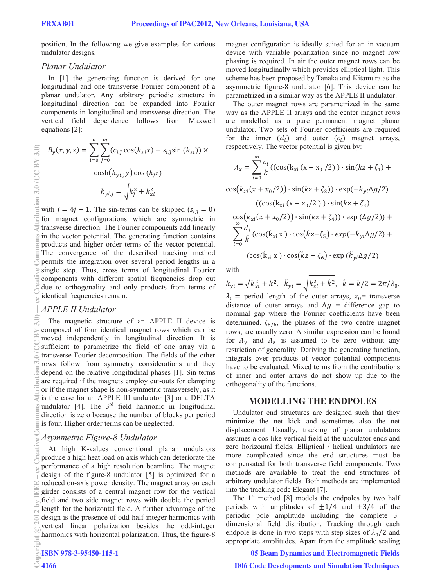ribution 3.0 (CC BY 3.0)

¥

€

**COLO** 

Ε

position. In the following we give examples for various undulator designs.

# *Planar Undulator*

In [1] the generating function is derived for one longitudinal and one transverse Fourier component of a planar undulator. Any arbitrary periodic structure in longitudinal direction can be expanded into Fourier components in longitudinal and transverse direction. The vertical field dependence follows from Maxwell equations [2]:

$$
B_{y}(x, y, z) = \sum_{i=0}^{n} \sum_{j=0}^{m} (c_{i, \tilde{j}} \cos(k_{xi} x) + s_{i, \tilde{j}} \sin(k_{xi})) \times \cosh(k_{y i, \tilde{j}} y) \cos(k_{\tilde{j}} z)
$$

$$
k_{yi, \tilde{j}} = \sqrt{k_{\tilde{j}}^{2} + k_{xi}^{2}}
$$

with  $\tilde{j} = 4j + 1$ . The sin-terms can be skipped ( $s_{i, \tilde{j}} = 0$ ) for magnet configurations which are symmetric in transverse direction. The Fourier components add linearly in the vector potential. The generating function contains products and higher order terms of the vector potential. The convergence of the described tracking method permits the integration over several period lengths in a single step. Thus, cross terms of longitudinal Fourier components with different spatial frequencies drop out due to orthogonality and only products from terms of identical frequencies remain.

## *APPLE II Undulator*

The magnetic structure of an APPLE II device is composed of four identical magnet rows which can be moved independently in longitudinal direction. It is sufficient to parametrize the field of one array via a transverse Fourier decomposition. The fields of the other rows follow from symmetry considerations and they depend on the relative longitudinal phases [1]. Sin-terms are required if the magnets employ cut-outs for clamping or if the magnet shape is non-symmetric transversely, as it is the case for an APPLE III undulator [3] or a DELTA undulator  $[4]$ . The  $3<sup>rd</sup>$  field harmonic in longitudinal direction is zero because the number of blocks per period is four. Higher order terms can be neglected. 2012 by IEEE – cc Creative Commons Attribution 3.0 (CC BY 3.0) — cc Creative Commons Attribution 3.0 (CC BY 3.0)

#### *Asymmetric Figure-8 Undulator*

At high K-values conventional planar undulators produce a high heat load on axis which can deteriorate the performance of a high resolution beamline. The magnet design of the figure-8 undulator [5] is optimized for a reduced on-axis power density. The magnet array on each girder consists of a central magnet row for the vertical field and two side magnet rows with double the period length for the horizontal field. A further advantage of the design is the presence of odd-half-integer harmonics with vertical linear polarization besides the odd-integer harmonics with horizontal polarization. Thus, the figure-8 c○

magnet configuration is ideally suited for an in-vacuum device with variable polarization since no magnet row phasing is required. In air the outer magnet rows can be moved longitudinally which provides elliptical light. This scheme has been proposed by Tanaka and Kitamura as the asymmetric figure-8 undulator [6]. This device can be parametrized in a similar way as the APPLE II undulator.

The outer magnet rows are parametrized in the same way as the APPLE II arrays and the center magnet rows are modelled as a pure permanent magnet planar undulator. Two sets of Fourier coefficients are required for the inner  $(d_i)$  and outer  $(c_i)$  magnet arrays, respectively. The vector potential is given by:

$$
A_x = \sum_{i=0}^{\infty} \frac{c_i}{k} \left( \left( \cos(k_{xi} (x - x_0 / 2)) \cdot \sin(kz + \zeta_1) + \cos(k_{xi} (x + x_0 / 2)) \cdot \sin(kz + \zeta_2) \right) \cdot \exp(-k_{yi} \Delta g / 2) + \left( \left( \cos(k_{xi} (x - x_0 / 2)) \cdot \sin(kz + \zeta_3) \right) \right. \cos(k_{xi} (x + x_0 / 2)) \cdot \sin(kz + \zeta_4)) \cdot \exp(\Delta g / 2) + \sum_{i=0}^{\infty} \frac{d_i}{k} \left( \cos(\tilde{k}_{xi} x) \cdot \cos(\tilde{k} z + \zeta_5) \cdot \exp(-\tilde{k}_{yi} \Delta g / 2) + \left( \cos(\tilde{k}_{xi} x) \cdot \cos(\tilde{k} z + \zeta_6) \cdot \exp(\tilde{k}_{yi} \Delta g / 2) \right) \right)
$$

with

$$
k_{yi} = \sqrt{k_{xi}^2 + k^2}, \quad \tilde{k}_{yi} = \sqrt{k_{xi}^2 + \tilde{k}^2}, \quad \tilde{k} = k/2 = 2\pi/\lambda_0,
$$
  

$$
\lambda_0 = \text{period length of the outer arrays}, \quad x_0 = \text{transverse}
$$

distance of outer arrays and  $\Delta g$  = difference gap to nominal gap where the Fourier coefficients have been determined.  $\zeta_{5/6}$ , the phases of the two centre magnet rows, are usually zero. A similar expression can be found for  $A_v$  and  $A_z$  is assumed to be zero without any restriction of generality. Deriving the generating function, integrals over products of vector potential components have to be evaluated. Mixed terms from the contributions of inner and outer arrays do not show up due to the orthogonality of the functions.

#### **MODELLING THE ENDPOLES**

Undulator end structures are designed such that they minimize the net kick and sometimes also the net displacement. Usually, tracking of planar undulators assumes a cos-like vertical field at the undulator ends and zero horizontal fields. Elliptical / helical undulators are more complicated since the end structures must be compensated for both transverse field components. Two methods are available to treat the end structures of arbitrary undulator fields. Both methods are implemented into the tracking code Elegant [7].

The  $1<sup>st</sup>$  method [8] models the endpoles by two half periods with amplitudes of  $\pm 1/4$  and  $\pm 3/4$  of the periodic pole amplitude including the complete 3 dimensional field distribution. Tracking through each endpole is done in two steps with step sizes of  $\lambda_0/2$  and appropriate amplitudes. Apart from the amplitude scaling

D06 Code Developments and Simulation Techniques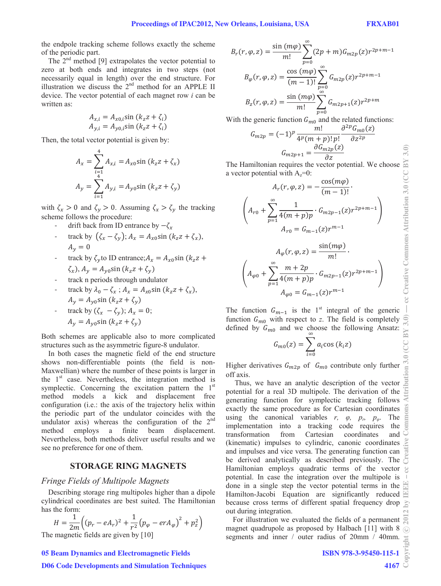the endpole tracking scheme follows exactly the scheme of the periodic part.

The  $2<sup>nd</sup>$  method [9] extrapolates the vector potential to zero at both ends and integrates in two steps (not necessarily equal in length) over the end structure. For illustration we discuss the  $2<sup>nd</sup>$  method for an APPLE II device. The vector potential of each magnet row *i* can be written as:

$$
A_{x,i} = A_{x0,i} \sin (k_z z + \zeta_i)
$$
  

$$
A_{y,i} = A_{y0,i} \sin (k_z z + \zeta_i)
$$

Then, the total vector potential is given by:

$$
A_x = \sum_{\substack{i=1 \ 4}}^4 A_{x,i} = A_{x0} \sin (k_z z + \zeta_x)
$$
  

$$
A_y = \sum_{i=1}^4 A_{y,i} = A_{y0} \sin (k_z z + \zeta_y)
$$

with  $\zeta_x > 0$  and  $\zeta_y > 0$ . Assuming  $\zeta_x > \zeta_y$  the tracking scheme follows the procedure:

- drift back from ID entrance by  $-\zeta_r$
- Track by  $(\zeta_x \zeta_y)$ ;  $A_x = A_{x0} \sin(k_z z + \zeta_x)$ ,  $A_v = 0$
- track by  $\zeta_{\nu}$  to ID entrance;  $A_x = A_{x0} \sin(k_z z +$  $\zeta_x$ ),  $A_y = A_{\nu 0} \sin (k_z z + \zeta_v)$
- Ͳ track n periods through undulator
- Track by  $\lambda_0 \zeta_x$ ;  $A_x = A_{x0} \sin(k_z z + \zeta_x)$ ,  $A_v = A_{v0} \sin (k_z z + \zeta_v)$
- track by  $(\zeta_x \zeta_y)$ ;  $A_x = 0$ ;  $A_v = A_{v0} \sin (k_z z + \zeta_v)$

Both schemes are applicable also to more complicated structures such as the asymmetric figure-8 undulator.

In both cases the magnetic field of the end structure shows non-differentiable points (the field is non-Maxwellian) where the number of these points is larger in the  $1<sup>st</sup>$  case. Nevertheless, the integration method is symplectic. Concerning the excitation pattern the  $1<sup>st</sup>$ method models a kick and displacement free configuration (i.e.: the axis of the trajectory helix within the periodic part of the undulator coincides with the undulator axis) whereas the configuration of the  $2<sup>nd</sup>$ method employs a finite beam displacement. Nevertheless, both methods deliver useful results and we see no preference for one of them.

# **STORAGE RING MAGNETS**

#### *Fringe )ields of 0ultipole 0agnets*

Describing storage ring multipoles higher than a dipole cylindrical coordinates are best suited. The Hamiltonian has the form:

$$
H = \frac{1}{2m} \Big( (p_r - eA_r)^2 + \frac{1}{r^2} (p_\varphi - erA_\varphi)^2 + p_z^2 \Big)
$$
  
The magnetic fields are given by [10]

#### 05 Beam Dynamics and Electromagnetic Fields

#### D06 Code Developments and Simulation Techniques

$$
B_r(r, \varphi, z) = \frac{\sin (m\varphi)}{m!} \sum_{p=0}^{\infty} (2p + m) G_{m2p}(z) r^{2p+m-1}
$$

$$
B_{\varphi}(r, \varphi, z) = \frac{\cos (m\varphi)}{(m-1)!} \sum_{p=0}^{\infty} G_{m2p}(z) r^{2p+m-1}
$$

$$
B_z(r, \varphi, z) = \frac{\sin (m\varphi)}{m!} \sum_{p=0}^{\infty} G_{m2p+1}(z) r^{2p+m}
$$

With the generic function  $G_{m0}$  and the related functions:

$$
G_{m2p} = (-1)^p \frac{m!}{4^p (m+p)! p!} \frac{\partial^{2p} G_{m0}(z)}{\partial z^{2p}}
$$

$$
G_{m2p+1} = \frac{\partial G_{m2p}(z)}{\partial z}
$$

The Hamiltonian requires the vector potential. We choose a vector potential with  $A_z=0$ :

$$
A_r(r, \varphi, z) = -\frac{\cos(m\varphi)}{(m-1)!}.
$$

$$
\left(A_{r0} + \sum_{p=1}^{\infty} \frac{1}{4(m+p)p} \cdot G_{m2p-1}(z)r^{2p+m-1}\right)
$$

$$
A_{r0} = G_{m-1}(z)r^{m-1}
$$

$$
A_{\varphi}(r, \varphi, z) = \frac{\sin(m\varphi)}{m!}.
$$

 $\left(A_{\varphi 0} + \sum_{p=1}^{\infty} \frac{m+2p}{4(m+p)p} \cdot G_{m2p-1}(z) r^{2p+m-1}\right)$  $A_{\varphi 0} = G_{m-1}(z) r^{m-1}$ 

The function  $G_{m-1}$  is the 1<sup>st</sup> integral of the generic function  $G_{m0}$  with respect to *z*. The field is completely defined by  $G_{m0}$  and we choose the following Ansatz: ஶ

$$
G_{m0}(z) = \sum_{i=0} a_i \cos(k_i z)
$$

Higher derivatives  $G_{m2p}$  of  $G_{m0}$  contribute only further off axis.

 Thus, we have an analytic description of the vector potential for a real 3D multipole. The derivation of the generating function for symplectic tracking follows exactly the same procedure as for Cartesian coordinates using the canonical variables  $r$ ,  $\varphi$ ,  $p_r$ ,  $p_\varphi$ . The implementation into a tracking code requires the transformation from Cartesian coordinates and (kinematic) impulses to cylindric, canonic coordinates and impulses and vice versa. The generating function can be derived analytically as described previously. The Hamiltonian employs quadratic terms of the vector potential. In case the integration over the multipole is done in a single step the vector potential terms in the Hamilton-Jacobi Equation are significantly reduced  $\equiv$ because cross terms of different spatial frequency drop out during integration.

For illustration we evaluated the fields of a permanent magnet quadrupole as proposed by Halbach [11] with 8  $\odot$ segments and inner / outer radius of 20mm / 40mm.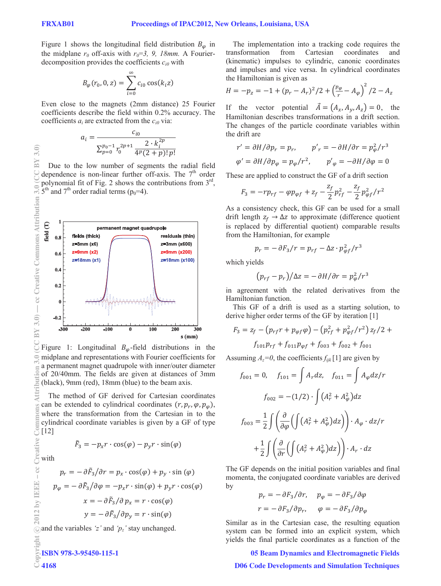$3.0)$ BY

Figure 1 shows the longitudinal field distribution  $B_{\varphi}$  in the midplane  $r_0$  off-axis with  $r_0=3$ , 9, 18mm. A Fourierdecomposition provides the coefficients *ci0* with

$$
B_{\varphi}(r_0, 0, z) = \sum_{i=0}^{\infty} c_{i0} \cos(k_i z)
$$

Even close to the magnets (2mm distance) 25 Fourier coefficients describe the field within 0.2% accuracy. The coefficients  $a_i$  are extracted from the  $c_{i0}$  via:

$$
a_i = \frac{c_{i0}}{\sum_{p=0}^{p_0-1} r_0^{2p+1} \frac{2 \cdot k_i^{2p}}{4^p (2+p)! \cdot p!}
$$

Due to the low number of segments the radial field dependence is non-linear further off-axis. The  $7<sup>th</sup>$  order polynomial fit of Fig. 2 shows the contributions from  $3<sup>rd</sup>$ ,  $5<sup>th</sup>$  and  $7<sup>th</sup>$  order radial terms ( $p_0=4$ ).



Figure 1: Longitudinal  $B_{\varphi}$ -field distributions in the midplane and representations with Fourier coefficients for a permanent magnet quadrupole with inner/outer diameter of 20/40mm. The fields are given at distances of 3mm (black), 9mm (red), 18mm (blue) to the beam axis.

The method of GF derived for Cartesian coordinates can be extended to cylindrical coordinates  $(r, p_r, \varphi, p_\varphi)$ , where the transformation from the Cartesian in to the cylindrical coordinate variables is given by a GF of type  $\frac{1}{6}$  cylin<br> $\frac{1}{12}$ 

 $F_3 = -p_x r \cdot \cos(\varphi) - p_y r \cdot \sin(\varphi)$ 

with

4168

$$
p_r = -\partial \tilde{F}_3 / \partial r = p_x \cdot \cos(\varphi) + p_y \cdot \sin(\varphi)
$$

$$
p_{\varphi} = -\partial \tilde{F}_3 / \partial \varphi = -p_x r \cdot \sin(\varphi) + p_y r \cdot \cos(\varphi)
$$

$$
x = -\partial \tilde{F}_3 / \partial p_x = r \cdot \cos(\varphi)
$$

$$
y = -\partial \tilde{F}_3 / \partial p_y = r \cdot \sin(\varphi)
$$

and the variables *'z'* and *'pz'* stay unchanged.

The implementation into a tracking code requires the transformation from Cartesian coordinates and (kinematic) impulses to cylindric, canonic coordinates and impulses and vice versa. In cylindrical coordinates the Hamiltonian is given as

$$
H = -p_z = -1 + (p_r - A_r)^2 / 2 + \left(\frac{p_\varphi}{r} - A_\varphi\right)^2 / 2 - A_z
$$

If the vector potential  $\vec{A} = (A_x, A_y, A_z) = 0$ , the Hamiltonian describes transformations in a drift section. The changes of the particle coordinate variables within the drift are

$$
r' = \frac{\partial H}{\partial p_r} = p_r, \qquad p'_r = -\frac{\partial H}{\partial r} = p_\varphi^2 / r^3
$$
  

$$
\varphi' = \frac{\partial H}{\partial p_\varphi} = p_\varphi / r^2, \qquad p'_\varphi = -\frac{\partial H}{\partial \varphi} = 0
$$

These are applied to construct the GF of a drift section

$$
F_3 = -rp_{rf} - \varphi p_{\varphi f} + z_f - \frac{z_f}{2} p_{rf}^2 - \frac{z_f}{2} p_{\varphi f}^2 / r^2
$$

As a consistency check, this GF can be used for a small drift length  $z_f \rightarrow \Delta z$  to approximate (difference quotient is replaced by differential quotient) comparable results from the Hamiltonian, for example

$$
p_r = -\frac{\partial F_3}{r} = p_{rf} - \Delta z \cdot p_{\varphi f}^2 / r^3
$$

which yields

$$
(p_{rf} - p_r)/\Delta z = -\partial H/\partial r = p_\varphi^2/r^3
$$

in agreement with the related derivatives from the Hamiltonian function.

This GF of a drift is used as a starting solution, to derive higher order terms of the GF by iteration [1]

$$
F_3 = z_f - (p_{rf}r + p_{\varphi f}\varphi) - (p_{rf}^2 + p_{\varphi f}^2/r^2) z_f/2 +
$$
  

$$
f_{101}p_{rf} + f_{011}p_{\varphi f} + f_{003} + f_{002} + f_{001}
$$

Assuming  $A_z=0$ , the coefficients  $f_{ijk}$  [1] are given by

$$
f_{001} = 0, \quad f_{101} = \int A_r dz, \quad f_{011} = \int A_\varphi dz / r
$$

$$
f_{002} = -(1/2) \cdot \int (A_r^2 + A_\varphi^2) dz
$$

$$
f_{003} = \frac{1}{2} \int \left( \frac{\partial}{\partial \varphi} \left( \int (A_r^2 + A_\varphi^2) dz \right) \right) \cdot A_\varphi \cdot dz / r
$$

$$
+ \frac{1}{2} \int \left( \frac{\partial}{\partial r} \left( \int (A_r^2 + A_\varphi^2) dz \right) \right) \cdot A_r \cdot dz
$$

The GF depends on the initial position variables and final momenta, the conjugated coordinate variables are derived by

$$
p_r = -\frac{\partial F_3}{\partial r}, \quad p_\varphi = -\frac{\partial F_3}{\partial \varphi}
$$

$$
r = -\frac{\partial F_3}{\partial p_r}, \quad \varphi = -\frac{\partial F_3}{\partial p_\varphi}
$$

Similar as in the Cartesian case, the resulting equation system can be formed into an explicit system, which yields the final particle coordinates as a function of the